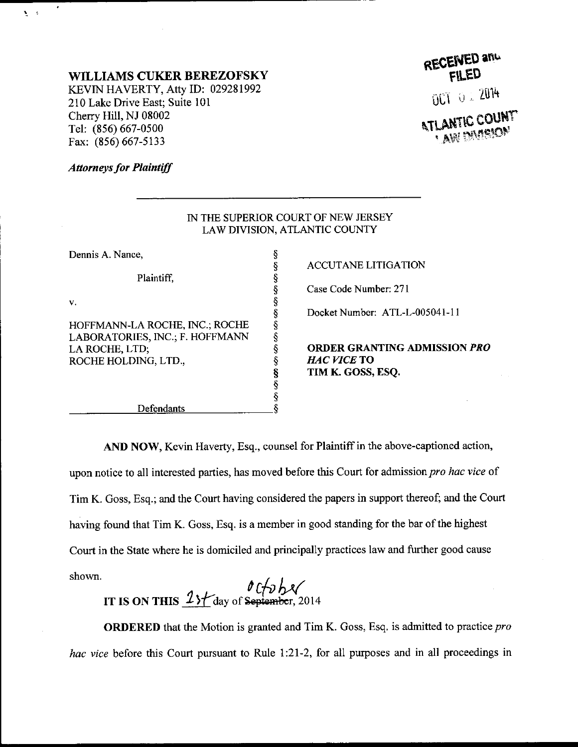## WILLIAMS CUKER BEREZOFSKY

KEVIN HAVERTY, Atty ID: 029281992 210 Lake Drive East; Suite 101 Cherry Hill, NJ 08002 Tel: (856) 667-0500 Fax: (856) 667-5133

## RECEIVED and

UCT 0 1 2014

**ATLANTIC COUNT** 

## **Attorneys for Plaintiff**

 $\mathbf{S}=\mathbf{S}$ 

| IN THE SUPERIOR COURT OF NEW JERSEY<br>LAW DIVISION, ATLANTIC COUNTY |
|----------------------------------------------------------------------|
|                                                                      |
| <b>ACCUTANE LITIGATION</b>                                           |
|                                                                      |
| Case Code Number: 271                                                |
|                                                                      |
| Docket Number: ATL-L-005041-11                                       |
|                                                                      |
|                                                                      |
| <b>ORDER GRANTING ADMISSION PRO</b>                                  |
| <i>HAC VICE</i> TO                                                   |
| TIM K. GOSS, ESQ.                                                    |
|                                                                      |
|                                                                      |
|                                                                      |
| ş                                                                    |

AND NOW, Kevin Haverty, Esq., counsel for Plaintiff in the above-captioned action, upon notice to all interested parties, has moved before this Court for admission pro hac vice of Tim K. Goss, Esq.; and the Court having considered the papers in support thereof; and the Court having found that Tim K. Goss, Esq. is a member in good standing for the bar of the highest Court in the State where he is domiciled aad principally practices law and further good cause shown.

IT IS ON THIS  $\frac{23f}{\text{day of September}}$ , 2014

ORDERED that the Motion is granted and Tim K. Goss, Esq. is admitted to practice pro hac vice before this Court pursuant to Rule 1:21-2, for all purposes and in all proceedings in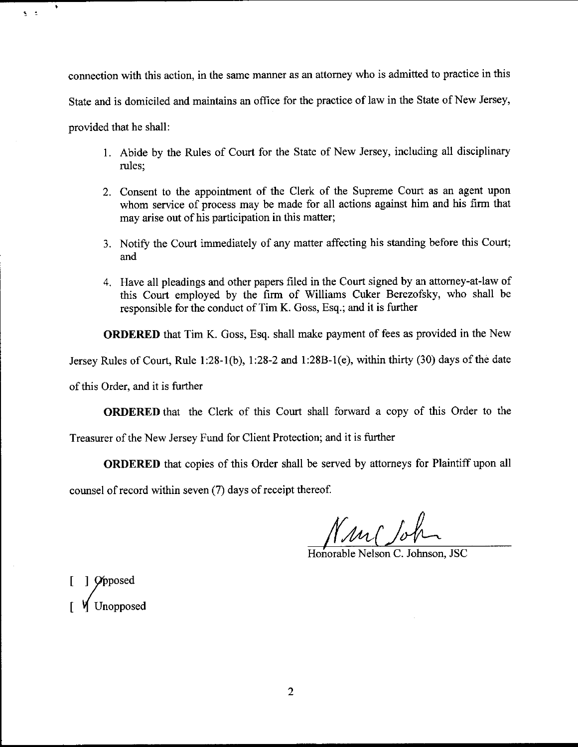connection with this action, in the same manner as an attomey who is admitted to practice in this State and is domiciled and maintains an office for the practice of law in the State of New Jersey, provided that he shall:

- 1. Abide by the Rules of Court for the State of New Jersey, including a1l disciplinary rules;
- 2. Consent to the appointment of the Clerk of the Supreme Court as an agent upon whom service of process may be made for all actions against him and his firm that may arise out of his participation in this matter;
- 3. Notify the Court immediately of any matter affecting his standing before this Court; and
- 4. Have all pleadings and other papers filed in the Court signed by an attorney-at-law of this Court employed by the firm of Williams Cuker Berezofsky, who shall be responsible for the conduct of Tim K. Goss, Esq.; and it is further

ORDERED that Tim K. Goss, Esq. shall make payment of fees as provided in the New

Jersey Rules of Court, Rule l:28-l(b), 7:28-2 md 1:28B-1(e), within thirty (30) days of the date

of this Order, and it is funher

٠

 $\mathbf{S} = \mathbf{S}$ 

ORDERED that the Clerk of this Court shall forward a copy of this Order to the

Treasurer of the New Jersey Fund for Client Protection; and it is further

ORDERED that copies of this Order shall be served by attomeys for Plaintiff upon all

counsel of record within seven (7) days of receipt thereof.

Nun John

Honorable Nelson C. Johnson, JSC

[ ] *O*pposed Unopposed